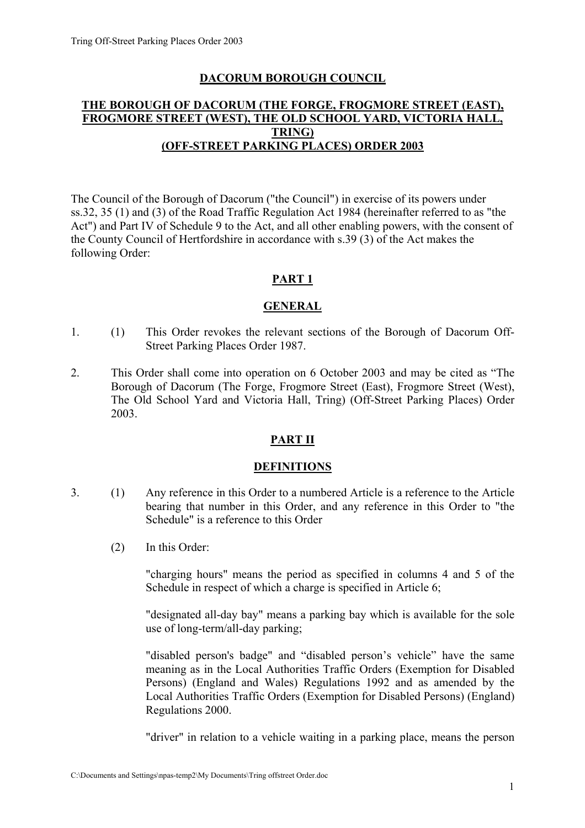## **DACORUM BOROUGH COUNCIL**

## **THE BOROUGH OF DACORUM (THE FORGE, FROGMORE STREET (EAST), FROGMORE STREET (WEST), THE OLD SCHOOL YARD, VICTORIA HALL, TRING) (OFF-STREET PARKING PLACES) ORDER 2003**

The Council of the Borough of Dacorum ("the Council") in exercise of its powers under ss.32, 35 (1) and (3) of the Road Traffic Regulation Act 1984 (hereinafter referred to as "the Act") and Part IV of Schedule 9 to the Act, and all other enabling powers, with the consent of the County Council of Hertfordshire in accordance with s.39 (3) of the Act makes the following Order:

# **PART 1**

## **GENERAL**

- 1. (1) This Order revokes the relevant sections of the Borough of Dacorum Off-Street Parking Places Order 1987.
- 2. This Order shall come into operation on 6 October 2003 and may be cited as "The Borough of Dacorum (The Forge, Frogmore Street (East), Frogmore Street (West), The Old School Yard and Victoria Hall, Tring) (Off-Street Parking Places) Order 2003.

## **PART II**

#### **DEFINITIONS**

- 3. (1) Any reference in this Order to a numbered Article is a reference to the Article bearing that number in this Order, and any reference in this Order to "the Schedule" is a reference to this Order
	- (2) In this Order:

 "charging hours" means the period as specified in columns 4 and 5 of the Schedule in respect of which a charge is specified in Article 6:

 "designated all-day bay" means a parking bay which is available for the sole use of long-term/all-day parking;

 "disabled person's badge" and "disabled person's vehicle" have the same meaning as in the Local Authorities Traffic Orders (Exemption for Disabled Persons) (England and Wales) Regulations 1992 and as amended by the Local Authorities Traffic Orders (Exemption for Disabled Persons) (England) Regulations 2000.

"driver" in relation to a vehicle waiting in a parking place, means the person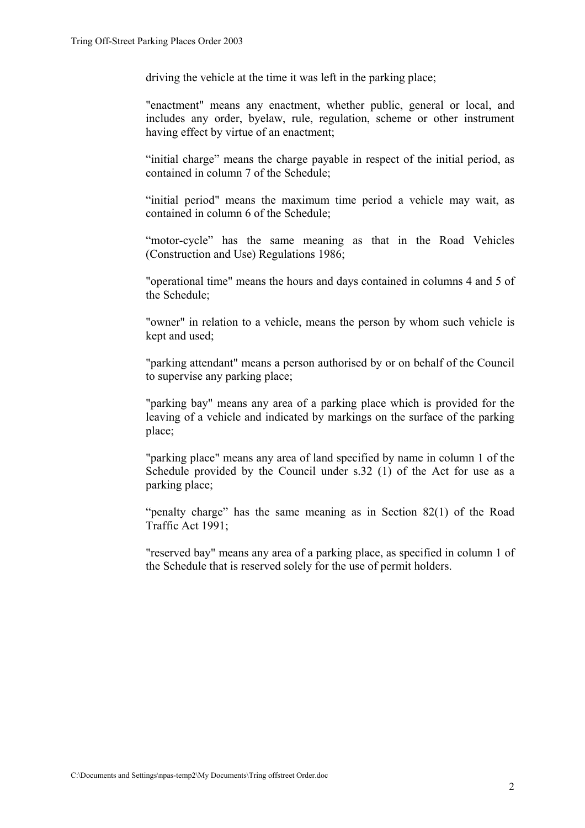driving the vehicle at the time it was left in the parking place;

 "enactment" means any enactment, whether public, general or local, and includes any order, byelaw, rule, regulation, scheme or other instrument having effect by virtue of an enactment;

 "initial charge" means the charge payable in respect of the initial period, as contained in column 7 of the Schedule;

 "initial period" means the maximum time period a vehicle may wait, as contained in column 6 of the Schedule;

 "motor-cycle" has the same meaning as that in the Road Vehicles (Construction and Use) Regulations 1986;

 "operational time" means the hours and days contained in columns 4 and 5 of the Schedule;

 "owner" in relation to a vehicle, means the person by whom such vehicle is kept and used;

 "parking attendant" means a person authorised by or on behalf of the Council to supervise any parking place;

 "parking bay" means any area of a parking place which is provided for the leaving of a vehicle and indicated by markings on the surface of the parking place;

 "parking place" means any area of land specified by name in column 1 of the Schedule provided by the Council under s.32 (1) of the Act for use as a parking place;

 "penalty charge" has the same meaning as in Section 82(1) of the Road Traffic Act 1991;

 "reserved bay" means any area of a parking place, as specified in column 1 of the Schedule that is reserved solely for the use of permit holders.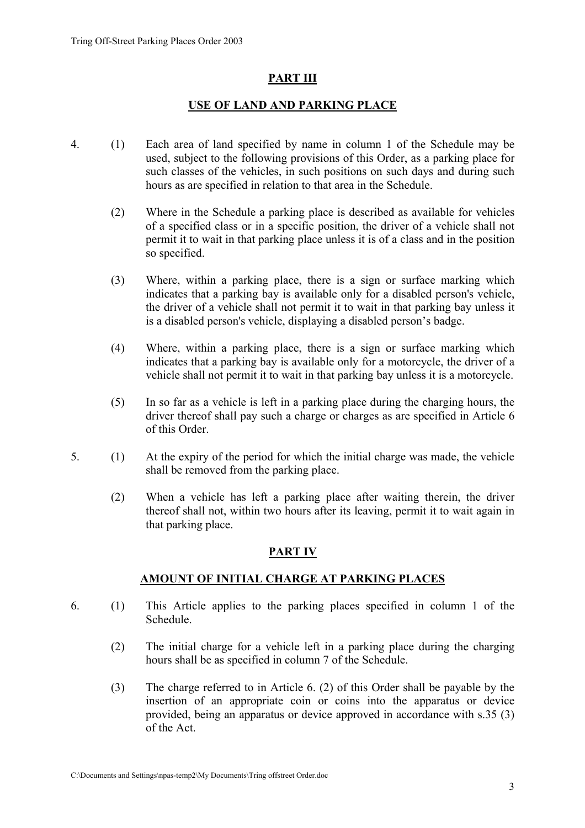## **PART III**

#### **USE OF LAND AND PARKING PLACE**

- 4. (1) Each area of land specified by name in column 1 of the Schedule may be used, subject to the following provisions of this Order, as a parking place for such classes of the vehicles, in such positions on such days and during such hours as are specified in relation to that area in the Schedule.
	- (2) Where in the Schedule a parking place is described as available for vehicles of a specified class or in a specific position, the driver of a vehicle shall not permit it to wait in that parking place unless it is of a class and in the position so specified.
	- (3) Where, within a parking place, there is a sign or surface marking which indicates that a parking bay is available only for a disabled person's vehicle, the driver of a vehicle shall not permit it to wait in that parking bay unless it is a disabled person's vehicle, displaying a disabled person's badge.
	- (4) Where, within a parking place, there is a sign or surface marking which indicates that a parking bay is available only for a motorcycle, the driver of a vehicle shall not permit it to wait in that parking bay unless it is a motorcycle.
	- (5) In so far as a vehicle is left in a parking place during the charging hours, the driver thereof shall pay such a charge or charges as are specified in Article 6 of this Order.
- 5. (1) At the expiry of the period for which the initial charge was made, the vehicle shall be removed from the parking place.
	- (2) When a vehicle has left a parking place after waiting therein, the driver thereof shall not, within two hours after its leaving, permit it to wait again in that parking place.

## **PART IV**

## **AMOUNT OF INITIAL CHARGE AT PARKING PLACES**

- 6. (1) This Article applies to the parking places specified in column 1 of the Schedule.
	- (2) The initial charge for a vehicle left in a parking place during the charging hours shall be as specified in column 7 of the Schedule.
	- (3) The charge referred to in Article 6. (2) of this Order shall be payable by the insertion of an appropriate coin or coins into the apparatus or device provided, being an apparatus or device approved in accordance with s.35 (3) of the Act.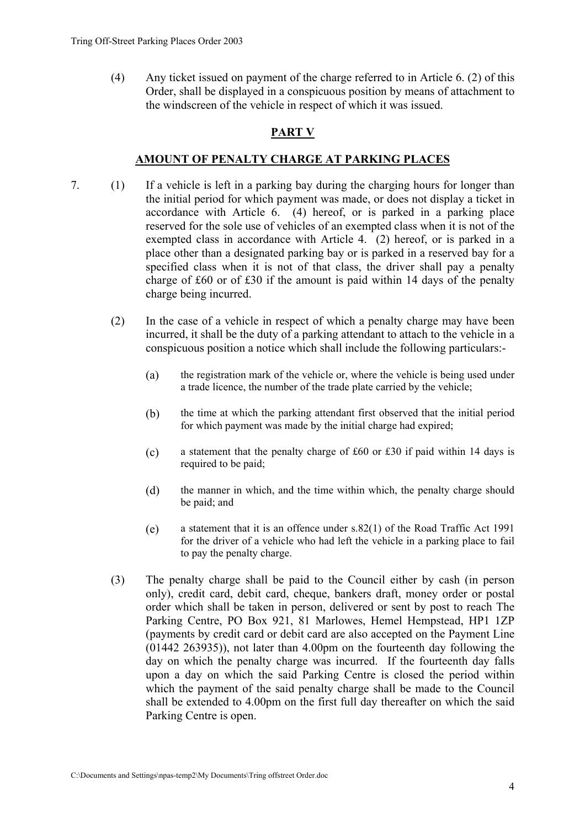(4) Any ticket issued on payment of the charge referred to in Article 6. (2) of this Order, shall be displayed in a conspicuous position by means of attachment to the windscreen of the vehicle in respect of which it was issued.

## **PART V**

#### **AMOUNT OF PENALTY CHARGE AT PARKING PLACES**

- 7. (1) If a vehicle is left in a parking bay during the charging hours for longer than the initial period for which payment was made, or does not display a ticket in accordance with Article 6. (4) hereof, or is parked in a parking place reserved for the sole use of vehicles of an exempted class when it is not of the exempted class in accordance with Article 4. (2) hereof, or is parked in a place other than a designated parking bay or is parked in a reserved bay for a specified class when it is not of that class, the driver shall pay a penalty charge of £60 or of £30 if the amount is paid within 14 days of the penalty charge being incurred.
	- (2) In the case of a vehicle in respect of which a penalty charge may have been incurred, it shall be the duty of a parking attendant to attach to the vehicle in a conspicuous position a notice which shall include the following particulars:-
		- (a) the registration mark of the vehicle or, where the vehicle is being used under a trade licence, the number of the trade plate carried by the vehicle;
		- (b) the time at which the parking attendant first observed that the initial period for which payment was made by the initial charge had expired;
		- (c) a statement that the penalty charge of £60 or £30 if paid within 14 days is required to be paid;
		- (d) the manner in which, and the time within which, the penalty charge should be paid; and
		- (e) a statement that it is an offence under s.82(1) of the Road Traffic Act 1991 for the driver of a vehicle who had left the vehicle in a parking place to fail to pay the penalty charge.
	- (3) The penalty charge shall be paid to the Council either by cash (in person only), credit card, debit card, cheque, bankers draft, money order or postal order which shall be taken in person, delivered or sent by post to reach The Parking Centre, PO Box 921, 81 Marlowes, Hemel Hempstead, HP1 1ZP (payments by credit card or debit card are also accepted on the Payment Line (01442 263935)), not later than 4.00pm on the fourteenth day following the day on which the penalty charge was incurred. If the fourteenth day falls upon a day on which the said Parking Centre is closed the period within which the payment of the said penalty charge shall be made to the Council shall be extended to 4.00pm on the first full day thereafter on which the said Parking Centre is open.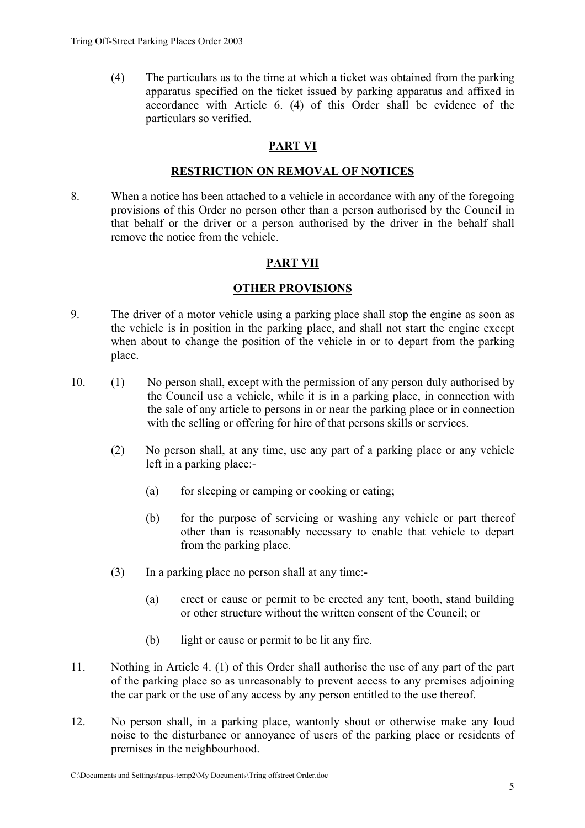(4) The particulars as to the time at which a ticket was obtained from the parking apparatus specified on the ticket issued by parking apparatus and affixed in accordance with Article 6. (4) of this Order shall be evidence of the particulars so verified.

# **PART VI**

#### **RESTRICTION ON REMOVAL OF NOTICES**

8. When a notice has been attached to a vehicle in accordance with any of the foregoing provisions of this Order no person other than a person authorised by the Council in that behalf or the driver or a person authorised by the driver in the behalf shall remove the notice from the vehicle.

# **PART VII**

#### **OTHER PROVISIONS**

- 9. The driver of a motor vehicle using a parking place shall stop the engine as soon as the vehicle is in position in the parking place, and shall not start the engine except when about to change the position of the vehicle in or to depart from the parking place.
- 10. (1) No person shall, except with the permission of any person duly authorised by the Council use a vehicle, while it is in a parking place, in connection with the sale of any article to persons in or near the parking place or in connection with the selling or offering for hire of that persons skills or services.
	- (2) No person shall, at any time, use any part of a parking place or any vehicle left in a parking place:-
		- (a) for sleeping or camping or cooking or eating;
		- (b) for the purpose of servicing or washing any vehicle or part thereof other than is reasonably necessary to enable that vehicle to depart from the parking place.
	- (3) In a parking place no person shall at any time:-
		- (a) erect or cause or permit to be erected any tent, booth, stand building or other structure without the written consent of the Council; or
		- (b) light or cause or permit to be lit any fire.
- 11. Nothing in Article 4. (1) of this Order shall authorise the use of any part of the part of the parking place so as unreasonably to prevent access to any premises adjoining the car park or the use of any access by any person entitled to the use thereof.
- 12. No person shall, in a parking place, wantonly shout or otherwise make any loud noise to the disturbance or annoyance of users of the parking place or residents of premises in the neighbourhood.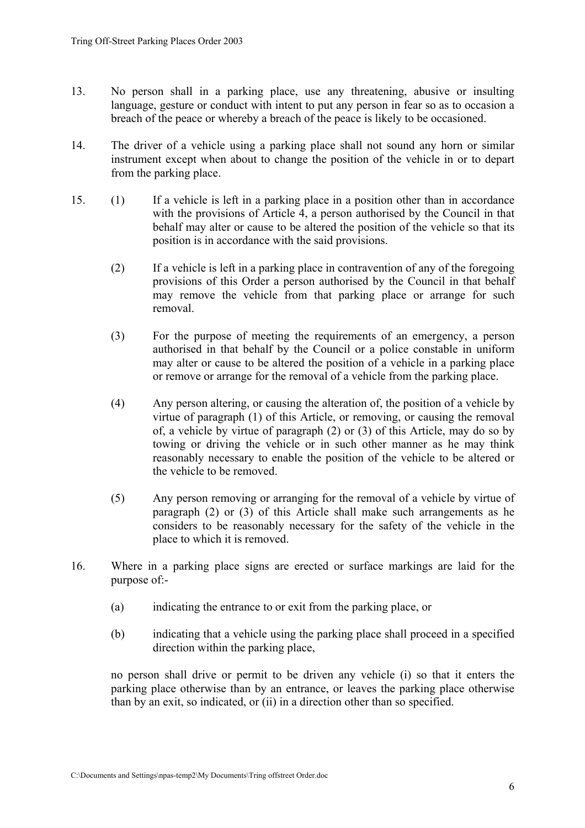- 13. No person shall in a parking place, use any threatening, abusive or insulting language, gesture or conduct with intent to put any person in fear so as to occasion a breach of the peace or whereby a breach of the peace is likely to be occasioned.
- 14. The driver of a vehicle using a parking place shall not sound any horn or similar instrument except when about to change the position of the vehicle in or to depart from the parking place.
- 15. (1) If a vehicle is left in a parking place in a position other than in accordance with the provisions of Article 4, a person authorised by the Council in that behalf may alter or cause to be altered the position of the vehicle so that its position is in accordance with the said provisions.
	- (2) If a vehicle is left in a parking place in contravention of any of the foregoing provisions of this Order a person authorised by the Council in that behalf may remove the vehicle from that parking place or arrange for such removal.
	- (3) For the purpose of meeting the requirements of an emergency, a person authorised in that behalf by the Council or a police constable in uniform may alter or cause to be altered the position of a vehicle in a parking place or remove or arrange for the removal of a vehicle from the parking place.
	- (4) Any person altering, or causing the alteration of, the position of a vehicle by virtue of paragraph (1) of this Article, or removing, or causing the removal of, a vehicle by virtue of paragraph (2) or (3) of this Article, may do so by towing or driving the vehicle or in such other manner as he may think reasonably necessary to enable the position of the vehicle to be altered or the vehicle to be removed.
	- (5) Any person removing or arranging for the removal of a vehicle by virtue of paragraph (2) or (3) of this Article shall make such arrangements as he considers to be reasonably necessary for the safety of the vehicle in the place to which it is removed.
- 16. Where in a parking place signs are erected or surface markings are laid for the purpose of:-
	- (a) indicating the entrance to or exit from the parking place, or
	- (b) indicating that a vehicle using the parking place shall proceed in a specified direction within the parking place,

 no person shall drive or permit to be driven any vehicle (i) so that it enters the parking place otherwise than by an entrance, or leaves the parking place otherwise than by an exit, so indicated, or (ii) in a direction other than so specified.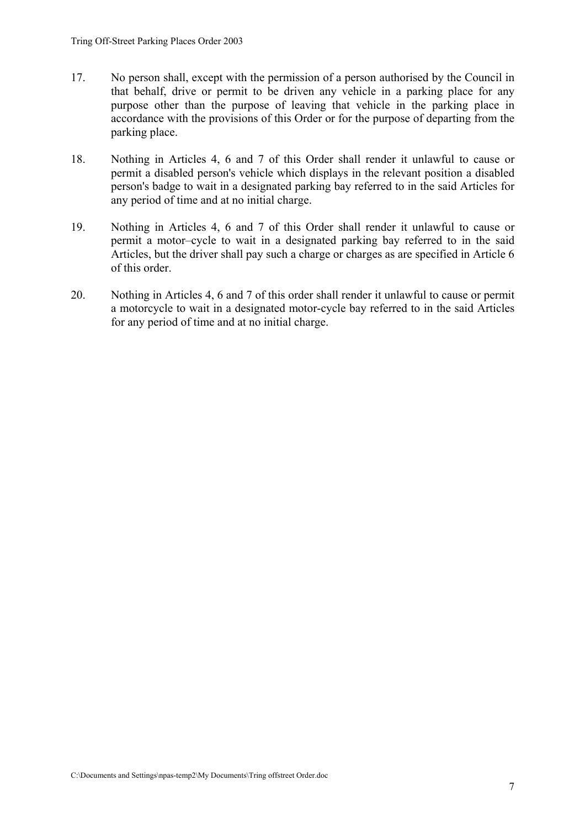- 17. No person shall, except with the permission of a person authorised by the Council in that behalf, drive or permit to be driven any vehicle in a parking place for any purpose other than the purpose of leaving that vehicle in the parking place in accordance with the provisions of this Order or for the purpose of departing from the parking place.
- 18. Nothing in Articles 4, 6 and 7 of this Order shall render it unlawful to cause or permit a disabled person's vehicle which displays in the relevant position a disabled person's badge to wait in a designated parking bay referred to in the said Articles for any period of time and at no initial charge.
- 19. Nothing in Articles 4, 6 and 7 of this Order shall render it unlawful to cause or permit a motor–cycle to wait in a designated parking bay referred to in the said Articles, but the driver shall pay such a charge or charges as are specified in Article 6 of this order.
- 20. Nothing in Articles 4, 6 and 7 of this order shall render it unlawful to cause or permit a motorcycle to wait in a designated motor-cycle bay referred to in the said Articles for any period of time and at no initial charge.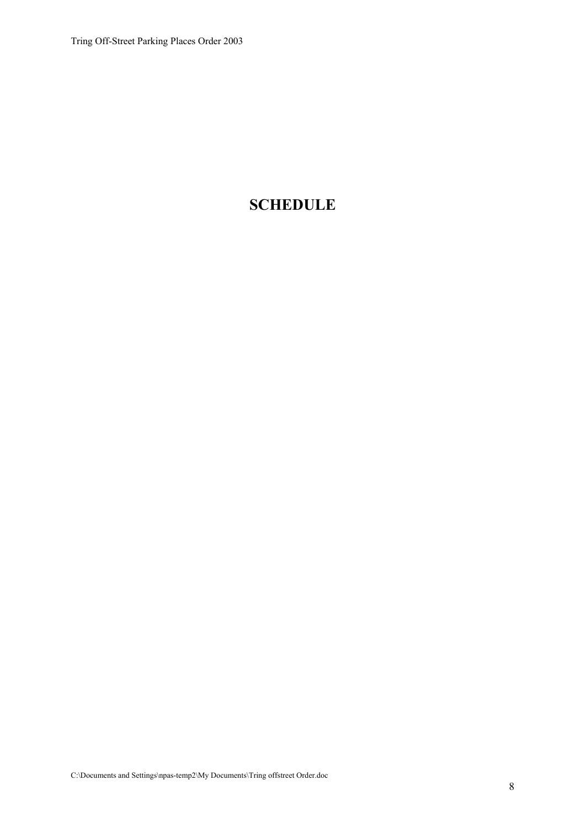# **SCHEDULE**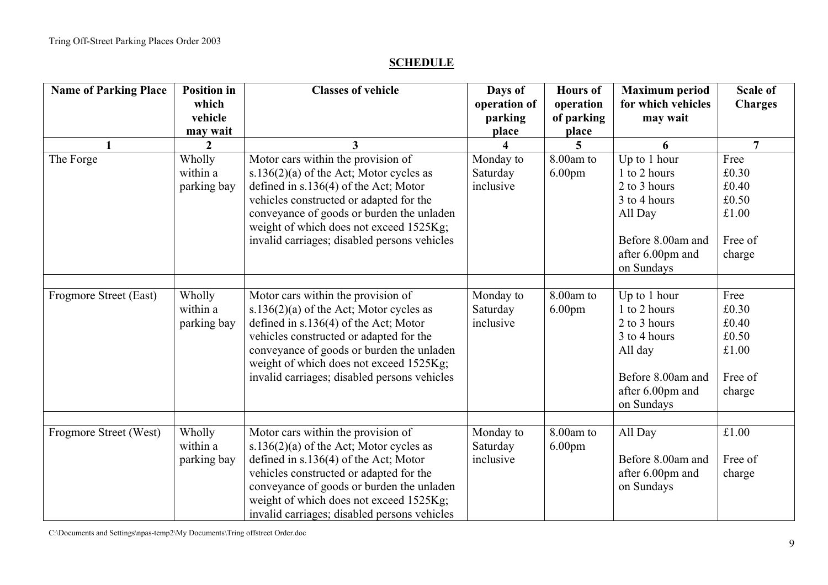#### **SCHEDULE**

| <b>Name of Parking Place</b> | <b>Position in</b><br>which<br>vehicle<br>may wait | <b>Classes of vehicle</b>                                                                                                                                                                                                                                                                                      | Days of<br>operation of<br>parking<br>place | <b>Hours</b> of<br>operation<br>of parking<br>place | <b>Maximum</b> period<br>for which vehicles<br>may wait                                                                        | <b>Scale of</b><br><b>Charges</b>                             |
|------------------------------|----------------------------------------------------|----------------------------------------------------------------------------------------------------------------------------------------------------------------------------------------------------------------------------------------------------------------------------------------------------------------|---------------------------------------------|-----------------------------------------------------|--------------------------------------------------------------------------------------------------------------------------------|---------------------------------------------------------------|
| $\mathbf{1}$                 | $\overline{2}$                                     | 3                                                                                                                                                                                                                                                                                                              |                                             | 5                                                   | 6                                                                                                                              | $\overline{7}$                                                |
| The Forge                    | Wholly<br>within a<br>parking bay                  | Motor cars within the provision of<br>s.136 $(2)(a)$ of the Act; Motor cycles as<br>defined in s.136(4) of the Act; Motor<br>vehicles constructed or adapted for the<br>conveyance of goods or burden the unladen<br>weight of which does not exceed 1525Kg;<br>invalid carriages; disabled persons vehicles   | Monday to<br>Saturday<br>inclusive          | 8.00am to<br>6.00 <sub>pm</sub>                     | Up to 1 hour<br>1 to 2 hours<br>2 to 3 hours<br>3 to 4 hours<br>All Day<br>Before 8.00am and<br>after 6.00pm and<br>on Sundays | Free<br>£0.30<br>£0.40<br>£0.50<br>£1.00<br>Free of<br>charge |
| Frogmore Street (East)       | Wholly<br>within a<br>parking bay                  | Motor cars within the provision of<br>s.136 $(2)(a)$ of the Act; Motor cycles as<br>defined in $s.136(4)$ of the Act; Motor<br>vehicles constructed or adapted for the<br>conveyance of goods or burden the unladen<br>weight of which does not exceed 1525Kg;<br>invalid carriages; disabled persons vehicles | Monday to<br>Saturday<br>inclusive          | 8.00am to<br>6.00 <sub>pm</sub>                     | Up to 1 hour<br>1 to 2 hours<br>2 to 3 hours<br>3 to 4 hours<br>All day<br>Before 8.00am and<br>after 6.00pm and<br>on Sundays | Free<br>£0.30<br>£0.40<br>£0.50<br>£1.00<br>Free of<br>charge |
| Frogmore Street (West)       | Wholly<br>within a<br>parking bay                  | Motor cars within the provision of<br>s.136 $(2)(a)$ of the Act; Motor cycles as<br>defined in $s.136(4)$ of the Act; Motor<br>vehicles constructed or adapted for the<br>conveyance of goods or burden the unladen<br>weight of which does not exceed 1525Kg;<br>invalid carriages; disabled persons vehicles | Monday to<br>Saturday<br>inclusive          | 8.00am to<br>6.00 <sub>pm</sub>                     | All Day<br>Before 8.00am and<br>after 6.00pm and<br>on Sundays                                                                 | $\pounds1.00$<br>Free of<br>charge                            |

C:\Documents and Settings\npas-temp2\My Documents\Tring offstreet Order.doc